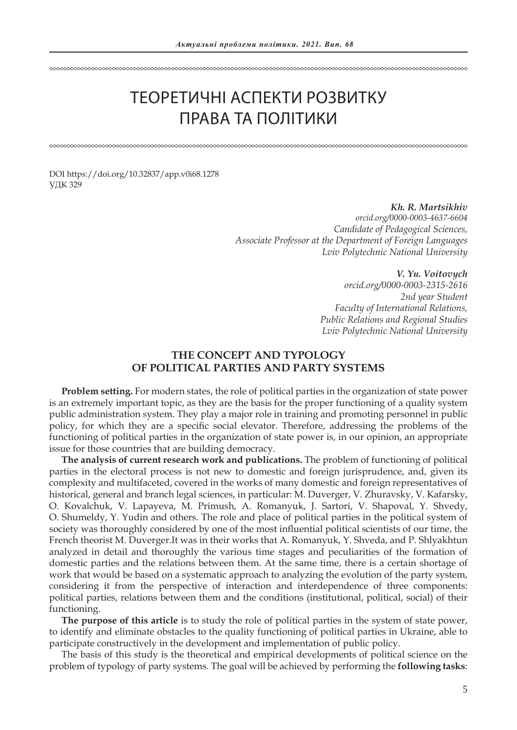# ТЕОРЕТИЧНІ АСПЕКТИ РОЗВИТКУ ПРАВА ТА ПОЛІТИКИ

DOI https://doi.org/10.32837/app.v0i68.1278 УДК 329

> *Kh. R. Martsikhiv orcid.org/0000-0003-4637-6604 Candidate of Pedagogical Sciences, Associate Professor at the Department of Foreign Languages Lviv Polytechnic National University*

> > *V. Yu. Voitovych*

*orcid.org/0000-0003-2315-2616 2nd year Student Faculty of International Relations, Public Relations and Regional Studies Lviv Polytechnic National University*

## **THE CONCEPT AND TYPOLOGY OF POLITICAL PARTIES AND PARTY SYSTEMS**

**Problem setting.** For modern states, the role of political parties in the organization of state power is an extremely important topic, as they are the basis for the proper functioning of a quality system public administration system. They play a major role in training and promoting personnel in public policy, for which they are a specific social elevator. Therefore, addressing the problems of the functioning of political parties in the organization of state power is, in our opinion, an appropriate issue for those countries that are building democracy.

**The analysis of current research work and publications.** The problem of functioning of political parties in the electoral process is not new to domestic and foreign jurisprudence, and, given its complexity and multifaceted, covered in the works of many domestic and foreign representatives of historical, general and branch legal sciences, in particular: M. Duverger, V. Zhuravsky, V. Kafarsky, O. Kovalchuk, V. Lapayeva, M. Primush, A. Romanyuk, J. Sartori, V. Shapoval, Y. Shvedy, O. Shumeldy, Y. Yudin and others. The role and place of political parties in the political system of society was thoroughly considered by one of the most influential political scientists of our time, the French theorist M. Duverger.It was in their works that A. Romanyuk, Y. Shveda, and P. Shlyakhtun analyzed in detail and thoroughly the various time stages and peculiarities of the formation of domestic parties and the relations between them. At the same time, there is a certain shortage of work that would be based on a systematic approach to analyzing the evolution of the party system, considering it from the perspective of interaction and interdependence of three components: political parties, relations between them and the conditions (institutional, political, social) of their functioning.

**The purpose of this article** is to study the role of political parties in the system of state power, to identify and eliminate obstacles to the quality functioning of political parties in Ukraine, able to participate constructively in the development and implementation of public policy.

The basis of this study is the theoretical and empirical developments of political science on the problem of typology of party systems. The goal will be achieved by performing the **following tasks**: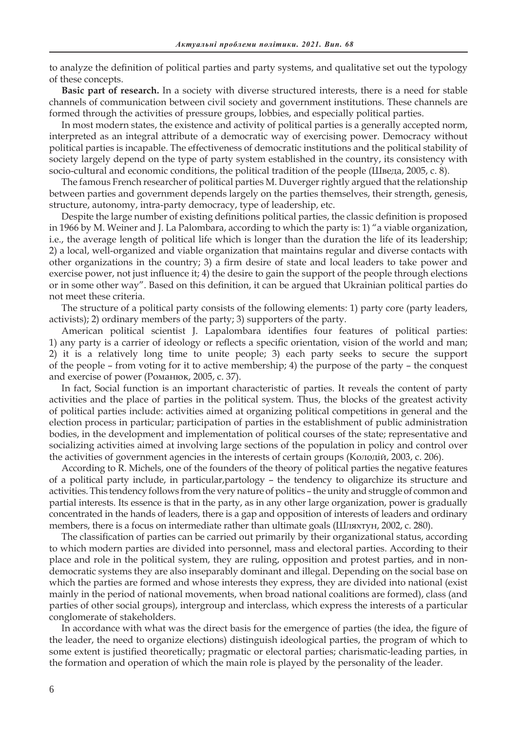to analyze the definition of political parties and party systems, and qualitative set out the typology of these concepts.

**Basic part of research.** In a society with diverse structured interests, there is a need for stable channels of communication between civil society and government institutions. These channels are formed through the activities of pressure groups, lobbies, and especially political parties.

In most modern states, the existence and activity of political parties is a generally accepted norm, interpreted as an integral attribute of a democratic way of exercising power. Democracy without political parties is incapable. The effectiveness of democratic institutions and the political stability of society largely depend on the type of party system established in the country, its consistency with socio-cultural and economic conditions, the political tradition of the people (Шведа, 2005, с. 8).

The famous French researcher of political parties M. Duverger rightly argued that the relationship between parties and government depends largely on the parties themselves, their strength, genesis, structure, autonomy, intra-party democracy, type of leadership, etc.

Despite the large number of existing definitions political parties, the classic definition is proposed in 1966 by M. Weiner and J. La Palombara, according to which the party is: 1) "a viable organization, i.e., the average length of political life which is longer than the duration the life of its leadership; 2) a local, well-organized and viable organization that maintains regular and diverse contacts with other organizations in the country; 3) a firm desire of state and local leaders to take power and exercise power, not just influence it; 4) the desire to gain the support of the people through elections or in some other way". Based on this definition, it can be argued that Ukrainian political parties do not meet these criteria.

The structure of a political party consists of the following elements: 1) party core (party leaders, activists); 2) ordinary members of the party; 3) supporters of the party.

American political scientist J. Lapalombara identifies four features of political parties: 1) any party is a carrier of ideology or reflects a specific orientation, vision of the world and man; 2) it is a relatively long time to unite people; 3) each party seeks to secure the support of the people – from voting for it to active membership; 4) the purpose of the party – the conquest and exercise of power (Романюк, 2005, с. 37).

In fact, Social function is an important characteristic of parties. It reveals the content of party activities and the place of parties in the political system. Thus, the blocks of the greatest activity of political parties include: activities aimed at organizing political competitions in general and the election process in particular; participation of parties in the establishment of public administration bodies, in the development and implementation of political courses of the state; representative and socializing activities aimed at involving large sections of the population in policy and control over the activities of government agencies in the interests of certain groups (Колодій, 2003, с. 206).

According to R. Michels, one of the founders of the theory of political parties the negative features of a political party include, in particular,partology – the tendency to oligarchize its structure and activities. This tendency follows from the very nature of politics – the unity and struggle of common and partial interests. Its essence is that in the party, as in any other large organization, power is gradually concentrated in the hands of leaders, there is a gap and opposition of interests of leaders and ordinary members, there is a focus on intermediate rather than ultimate goals (Шляхтун, 2002, с. 280).

The classification of parties can be carried out primarily by their organizational status, according to which modern parties are divided into personnel, mass and electoral parties. According to their place and role in the political system, they are ruling, opposition and protest parties, and in nondemocratic systems they are also inseparably dominant and illegal. Depending on the social base on which the parties are formed and whose interests they express, they are divided into national (exist mainly in the period of national movements, when broad national coalitions are formed), class (and parties of other social groups), intergroup and interclass, which express the interests of a particular conglomerate of stakeholders.

In accordance with what was the direct basis for the emergence of parties (the idea, the figure of the leader, the need to organize elections) distinguish ideological parties, the program of which to some extent is justified theoretically; pragmatic or electoral parties; charismatic-leading parties, in the formation and operation of which the main role is played by the personality of the leader.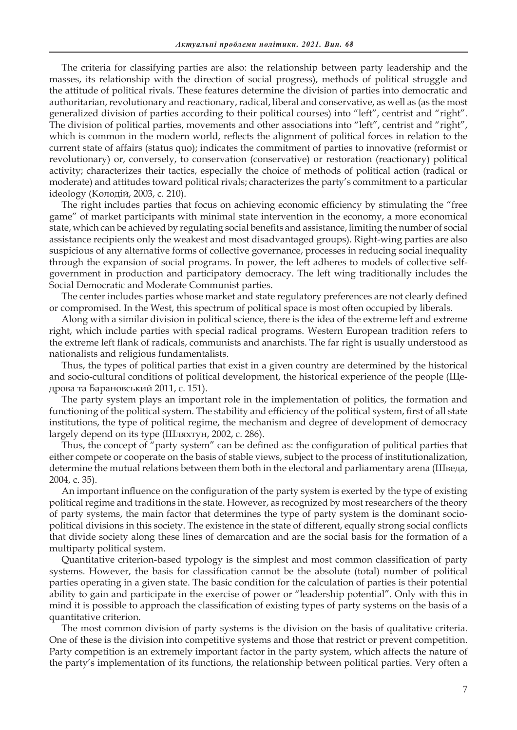The criteria for classifying parties are also: the relationship between party leadership and the masses, its relationship with the direction of social progress), methods of political struggle and the attitude of political rivals. These features determine the division of parties into democratic and authoritarian, revolutionary and reactionary, radical, liberal and conservative, as well as (as the most generalized division of parties according to their political courses) into "left", centrist and "right". The division of political parties, movements and other associations into "left", centrist and "right", which is common in the modern world, reflects the alignment of political forces in relation to the current state of affairs (status quo); indicates the commitment of parties to innovative (reformist or revolutionary) or, conversely, to conservation (conservative) or restoration (reactionary) political activity; characterizes their tactics, especially the choice of methods of political action (radical or moderate) and attitudes toward political rivals; characterizes the party's commitment to a particular ideology (Колодій, 2003, с. 210).

The right includes parties that focus on achieving economic efficiency by stimulating the "free game" of market participants with minimal state intervention in the economy, a more economical state, which can be achieved by regulating social benefits and assistance, limiting the number of social assistance recipients only the weakest and most disadvantaged groups). Right-wing parties are also suspicious of any alternative forms of collective governance, processes in reducing social inequality through the expansion of social programs. In power, the left adheres to models of collective selfgovernment in production and participatory democracy. The left wing traditionally includes the Social Democratic and Moderate Communist parties.

The center includes parties whose market and state regulatory preferences are not clearly defined or compromised. In the West, this spectrum of political space is most often occupied by liberals.

Along with a similar division in political science, there is the idea of the extreme left and extreme right, which include parties with special radical programs. Western European tradition refers to the extreme left flank of radicals, communists and anarchists. The far right is usually understood as nationalists and religious fundamentalists.

Thus, the types of political parties that exist in a given country are determined by the historical and socio-cultural conditions of political development, the historical experience of the people (Щедрова та Барановський 2011, с. 151).

The party system plays an important role in the implementation of politics, the formation and functioning of the political system. The stability and efficiency of the political system, first of all state institutions, the type of political regime, the mechanism and degree of development of democracy largely depend on its type (Шляхтун, 2002, с. 286).

Thus, the concept of "party system" can be defined as: the configuration of political parties that either compete or cooperate on the basis of stable views, subject to the process of institutionalization, determine the mutual relations between them both in the electoral and parliamentary arena (Шведа, 2004, с. 35).

An important influence on the configuration of the party system is exerted by the type of existing political regime and traditions in the state. However, as recognized by most researchers of the theory of party systems, the main factor that determines the type of party system is the dominant sociopolitical divisions in this society. The existence in the state of different, equally strong social conflicts that divide society along these lines of demarcation and are the social basis for the formation of a multiparty political system.

Quantitative criterion-based typology is the simplest and most common classification of party systems. However, the basis for classification cannot be the absolute (total) number of political parties operating in a given state. The basic condition for the calculation of parties is their potential ability to gain and participate in the exercise of power or "leadership potential". Only with this in mind it is possible to approach the classification of existing types of party systems on the basis of a quantitative criterion.

The most common division of party systems is the division on the basis of qualitative criteria. One of these is the division into competitive systems and those that restrict or prevent competition. Party competition is an extremely important factor in the party system, which affects the nature of the party's implementation of its functions, the relationship between political parties. Very often a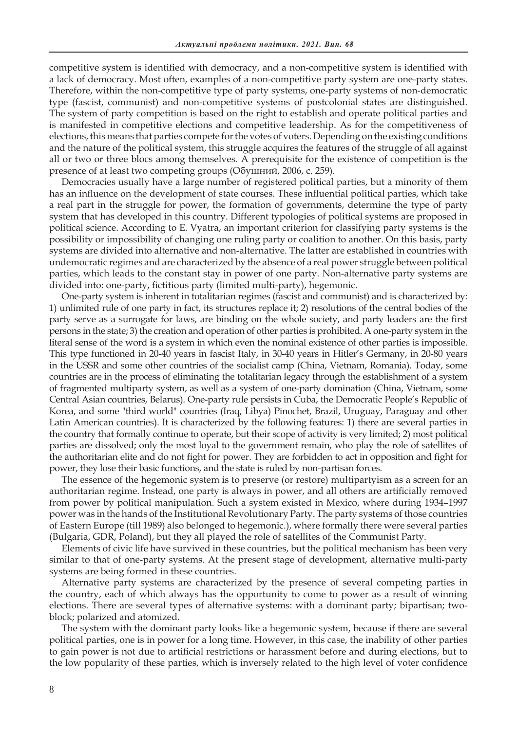competitive system is identified with democracy, and a non-competitive system is identified with a lack of democracy. Most often, examples of a non-competitive party system are one-party states. Therefore, within the non-competitive type of party systems, one-party systems of non-democratic type (fascist, communist) and non-competitive systems of postcolonial states are distinguished. The system of party competition is based on the right to establish and operate political parties and is manifested in competitive elections and competitive leadership. As for the competitiveness of elections, this means that parties compete for the votes of voters. Depending on the existing conditions and the nature of the political system, this struggle acquires the features of the struggle of all against all or two or three blocs among themselves. A prerequisite for the existence of competition is the presence of at least two competing groups (Обушний, 2006, с. 259).

Democracies usually have a large number of registered political parties, but a minority of them has an influence on the development of state courses. These influential political parties, which take a real part in the struggle for power, the formation of governments, determine the type of party system that has developed in this country. Different typologies of political systems are proposed in political science. According to E. Vyatra, an important criterion for classifying party systems is the possibility or impossibility of changing one ruling party or coalition to another. On this basis, party systems are divided into alternative and non-alternative. The latter are established in countries with undemocratic regimes and are characterized by the absence of a real power struggle between political parties, which leads to the constant stay in power of one party. Non-alternative party systems are divided into: one-party, fictitious party (limited multi-party), hegemonic.

One-party system is inherent in totalitarian regimes (fascist and communist) and is characterized by: 1) unlimited rule of one party in fact, its structures replace it; 2) resolutions of the central bodies of the party serve as a surrogate for laws, are binding on the whole society, and party leaders are the first persons in the state; 3) the creation and operation of other parties is prohibited. A one-party system in the literal sense of the word is a system in which even the nominal existence of other parties is impossible. This type functioned in 20-40 years in fascist Italy, in 30-40 years in Hitler's Germany, in 20-80 years in the USSR and some other countries of the socialist camp (China, Vietnam, Romania). Today, some countries are in the process of eliminating the totalitarian legacy through the establishment of a system of fragmented multiparty system, as well as a system of one-party domination (China, Vietnam, some Central Asian countries, Belarus). One-party rule persists in Cuba, the Democratic People's Republic of Korea, and some "third world" countries (Iraq, Libya) Pinochet, Brazil, Uruguay, Paraguay and other Latin American countries). It is characterized by the following features: 1) there are several parties in the country that formally continue to operate, but their scope of activity is very limited; 2) most political parties are dissolved; only the most loyal to the government remain, who play the role of satellites of the authoritarian elite and do not fight for power. They are forbidden to act in opposition and fight for power, they lose their basic functions, and the state is ruled by non-partisan forces.

The essence of the hegemonic system is to preserve (or restore) multipartyism as a screen for an authoritarian regime. Instead, one party is always in power, and all others are artificially removed from power by political manipulation. Such a system existed in Mexico, where during 1934–1997 power was in the hands of the Institutional Revolutionary Party. The party systems of those countries of Eastern Europe (till 1989) also belonged to hegemonic.), where formally there were several parties (Bulgaria, GDR, Poland), but they all played the role of satellites of the Communist Party.

Elements of civic life have survived in these countries, but the political mechanism has been very similar to that of one-party systems. At the present stage of development, alternative multi-party systems are being formed in these countries.

Alternative party systems are characterized by the presence of several competing parties in the country, each of which always has the opportunity to come to power as a result of winning elections. There are several types of alternative systems: with a dominant party; bipartisan; twoblock; polarized and atomized.

The system with the dominant party looks like a hegemonic system, because if there are several political parties, one is in power for a long time. However, in this case, the inability of other parties to gain power is not due to artificial restrictions or harassment before and during elections, but to the low popularity of these parties, which is inversely related to the high level of voter confidence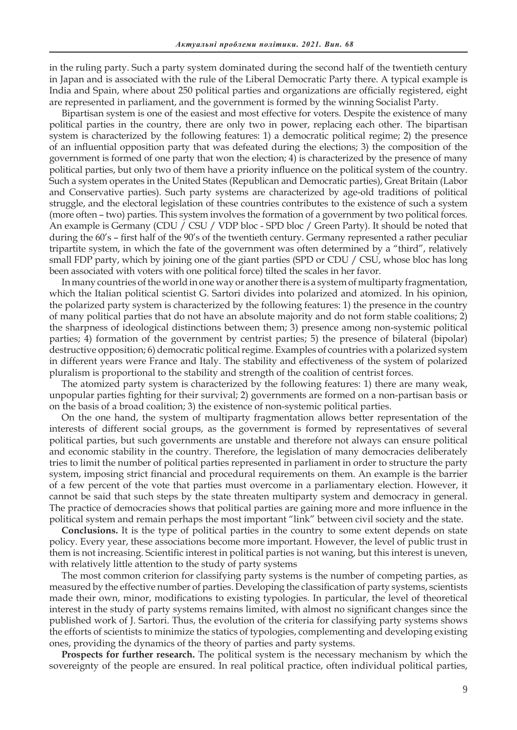in the ruling party. Such a party system dominated during the second half of the twentieth century in Japan and is associated with the rule of the Liberal Democratic Party there. A typical example is India and Spain, where about 250 political parties and organizations are officially registered, eight are represented in parliament, and the government is formed by the winning Socialist Party.

Bipartisan system is one of the easiest and most effective for voters. Despite the existence of many political parties in the country, there are only two in power, replacing each other. The bipartisan system is characterized by the following features: 1) a democratic political regime; 2) the presence of an influential opposition party that was defeated during the elections; 3) the composition of the government is formed of one party that won the election; 4) is characterized by the presence of many political parties, but only two of them have a priority influence on the political system of the country. Such a system operates in the United States (Republican and Democratic parties), Great Britain (Labor and Conservative parties). Such party systems are characterized by age-old traditions of political struggle, and the electoral legislation of these countries contributes to the existence of such a system (more often – two) parties. This system involves the formation of a government by two political forces. An example is Germany (CDU / CSU / VDP bloc - SPD bloc / Green Party). It should be noted that during the 60's – first half of the 90's of the twentieth century. Germany represented a rather peculiar tripartite system, in which the fate of the government was often determined by a "third", relatively small FDP party, which by joining one of the giant parties (SPD or CDU / CSU, whose bloc has long been associated with voters with one political force) tilted the scales in her favor.

In many countries of the world in one way or another there is a system of multiparty fragmentation, which the Italian political scientist G. Sartori divides into polarized and atomized. In his opinion, the polarized party system is characterized by the following features: 1) the presence in the country of many political parties that do not have an absolute majority and do not form stable coalitions; 2) the sharpness of ideological distinctions between them; 3) presence among non-systemic political parties; 4) formation of the government by centrist parties; 5) the presence of bilateral (bipolar) destructive opposition; 6) democratic political regime. Examples of countries with a polarized system in different years were France and Italy. The stability and effectiveness of the system of polarized pluralism is proportional to the stability and strength of the coalition of centrist forces.

The atomized party system is characterized by the following features: 1) there are many weak, unpopular parties fighting for their survival; 2) governments are formed on a non-partisan basis or on the basis of a broad coalition; 3) the existence of non-systemic political parties.

On the one hand, the system of multiparty fragmentation allows better representation of the interests of different social groups, as the government is formed by representatives of several political parties, but such governments are unstable and therefore not always can ensure political and economic stability in the country. Therefore, the legislation of many democracies deliberately tries to limit the number of political parties represented in parliament in order to structure the party system, imposing strict financial and procedural requirements on them. An example is the barrier of a few percent of the vote that parties must overcome in a parliamentary election. However, it cannot be said that such steps by the state threaten multiparty system and democracy in general. The practice of democracies shows that political parties are gaining more and more influence in the political system and remain perhaps the most important "link" between civil society and the state.

**Conclusions.** It is the type of political parties in the country to some extent depends on state policy. Every year, these associations become more important. However, the level of public trust in them is not increasing. Scientific interest in political parties is not waning, but this interest is uneven, with relatively little attention to the study of party systems

The most common criterion for classifying party systems is the number of competing parties, as measured by the effective number of parties. Developing the classification of party systems, scientists made their own, minor, modifications to existing typologies. In particular, the level of theoretical interest in the study of party systems remains limited, with almost no significant changes since the published work of J. Sartori. Thus, the evolution of the criteria for classifying party systems shows the efforts of scientists to minimize the statics of typologies, complementing and developing existing ones, providing the dynamics of the theory of parties and party systems.

**Prospects for further research.** The political system is the necessary mechanism by which the sovereignty of the people are ensured. In real political practice, often individual political parties,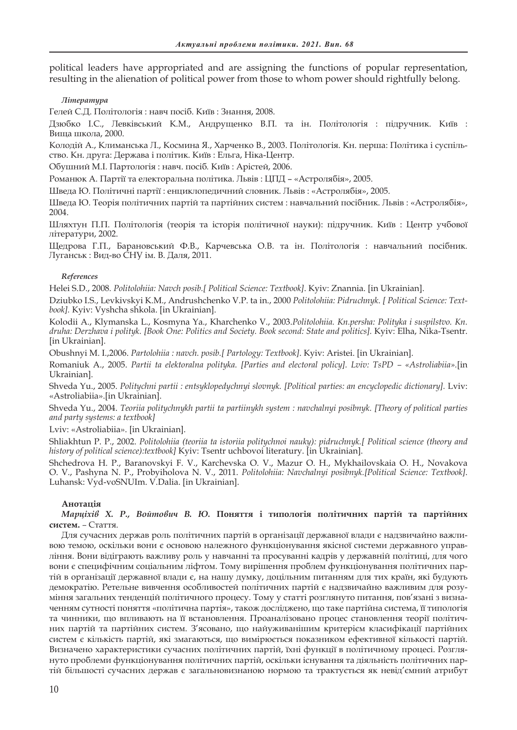political leaders have appropriated and are assigning the functions of popular representation, resulting in the alienation of political power from those to whom power should rightfully belong.

### *Література*

Гелей С.Д. Політологія : навч посіб. Київ : Знання, 2008.

Дзюбко І.С., Левківський К.М., Андрущенко В.П. та ін. Політологія : підручник. Київ : Вища школа, 2000.

Колодій А., Климанська Л., Космина Я., Харченко В., 2003. Політологія. Кн. перша: Політика і суспільство. Кн. друга: Держава і політик. Київ : Ельга, Ніка-Центр.

Обушний М.І. Партологія : навч. посіб*.* Київ : Арістей, 2006.

Романюк А. Партії та електоральна політика. Львів : ЦПД – «Астролябія», 2005.

Шведа Ю. Політичні партії : енциклопедичний словник. Львів : «Астролябія», 2005.

Шведа Ю. Теорія політичних партій та партійних систем : навчальний посібник. Львів : «Астролябія», 2004.

Шляхтун П.П. Політологія (теорія та історія політичної науки): підручник. Київ : Центр учбової літератури, 2002.

Щедрова Г.П., Барановський Ф.В., Карчевська О.В. та ін. Політологія : навчальний посібник*.*  Луганськ : Вид-во СНУ ім. В. Даля, 2011.

#### *References*

Helei S.D., 2008*. Politolohiia: Navch posib.[ Political Science: Textbook]*. Kyiv: Znannia. [in Ukrainian].

Dziubko I.S., Levkivskyi K.M., Andrushchenko V.P. ta in., 2000 *Politolohiia: Pidruchnyk*. *[ Political Science: Textbook].* Kyiv: Vyshcha shkola. [in Ukrainian].

Kolodii A., Klymanska L., Kosmyna Ya., Kharchenko V., 2003.*Politolohiia. Kn.persha: Polityka i suspilstvo. Kn. druha: Derzhava i polityk. [Book One: Politics and Society. Book second: State and politics].* Kyiv: Elha, Nika-Tsentr. [in Ukrainian].

Obushnyi M. I.,2006. *Partolohiia : navch. posib.[ Partology: Textbook]*. Kyiv: Aristei. [in Ukrainian].

Romaniuk A., 2005. *Partii ta elektoralna polityka. [Parties and electoral policy]. Lviv: TsPD – «Astroliabiia».*[in Ukrainian].

Shveda Yu., 2005. *Politychni partii : entsyklopedychnyi slovnyk. [Political parties: an encyclopedic dictionary].* Lviv: «Astroliabiia».[in Ukrainian].

Shveda Yu., 2004. *Teoriia politychnykh partii ta partiinykh system : navchalnyi posibnyk. [Theory of political parties and party systems: a textbook]*

Lviv: «Astroliabiia». [in Ukrainian].

Shliakhtun P. P., 2002. *Politolohiia (teoriia ta istoriia politychnoi nauky): pidruchnyk.[ Political science (theory and history of political science):textbook]* Kyiv: Tsentr uchbovoi literatury. [in Ukrainian].

Shchedrova H. P., Baranovskyi F. V., Karchevska O. V., Mazur O. H., Mykhailovskaia O. H., Novakova O. V., Pashyna N. P., Probyiholova N. V., 2011. *Politolohiia: Navchalnyi posibnyk.[Political Science: Textbook]*. Luhansk: Vyd-voSNUIm. V.Dalia. [in Ukrainian].

#### **Анотація**

*Марціхів Х. Р., Войтович В. Ю.* **Поняття і типологія політичних партій та партійних систем.** *–* Стаття.

Для сучасних держав роль політичних партій в організації державної влади є надзвичайно важливою темою, оскільки вони є основою належного функціонування якісної системи державного управління. Вони відіграють важливу роль у навчанні та просуванні кадрів у державній політиці, для чого вони є специфічним соціальним ліфтом. Тому вирішення проблем функціонування політичних партій в організації державної влади є, на нашу думку, доцільним питанням для тих країн, які будують демократію. Ретельне вивчення особливостей політичних партій є надзвичайно важливим для розуміння загальних тенденцій політичного процесу. Тому у статті розглянуто питання, пов'язані з визначенням сутності поняття «політична партія», також досліджено, що таке партійна система, її типологія та чинники, що впливають на її встановлення. Проаналізовано процес становлення теорії політичних партій та партійних систем. З'ясовано, що найуживанішим критерієм класифікації партійних систем є кількість партій, які змагаються, що вимірюється показником ефективної кількості партій. Визначено характеристики сучасних політичних партій, їхні функції в політичному процесі. Розглянуто проблеми функціонування політичних партій, оскільки існування та діяльність політичних партій більшості сучасних держав є загальновизнаною нормою та трактується як невід'ємний атрибут